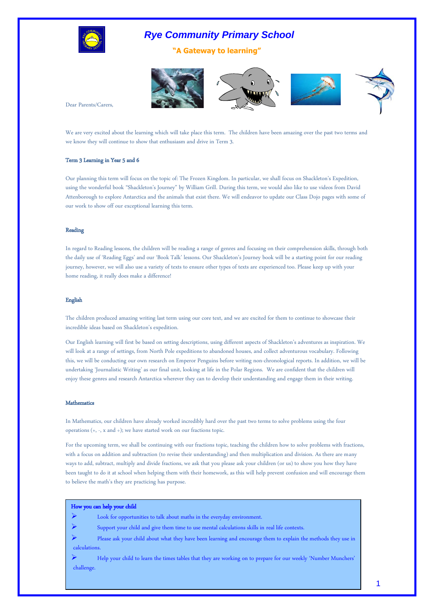

**"A Gateway to learning"**



Dear Parents/Carers,

We are very excited about the learning which will take place this term. The children have been amazing over the past two terms and we know they will continue to show that enthusiasm and drive in Term 3.

#### Term 3 Learning in Year 5 and 6

Our planning this term will focus on the topic of: The Frozen Kingdom. In particular, we shall focus on Shackleton's Expedition, using the wonderful book 'Shackleton's Journey' by William Grill. During this term, we would also like to use videos from David Attenborough to explore Antarctica and the animals that exist there. We will endeavor to update our Class Dojo pages with some of our work to show off our exceptional learning this term.

#### Reading

In regard to Reading lessons, the children will be reading a range of genres and focusing on their comprehension skills, through both the daily use of 'Reading Eggs' and our 'Book Talk' lessons. Our Shackleton's Journey book will be a starting point for our reading journey, however, we will also use a variety of texts to ensure other types of texts are experienced too. Please keep up with your home reading, it really does make a difference!

#### English

The children produced amazing writing last term using our core text, and we are excited for them to continue to showcase their incredible ideas based on Shackleton's expedition.

Our English learning will first be based on setting descriptions, using different aspects of Shackleton's adventures as inspiration. We will look at a range of settings, from North Pole expeditions to abandoned houses, and collect adventurous vocabulary. Following this, we will be conducting our own research on Emperor Penguins before writing non-chronological reports. In addition, we will be undertaking 'Journalistic Writing' as our final unit, looking at life in the Polar Regions. We are confident that the children will enjoy these genres and research Antarctica wherever they can to develop their understanding and engage them in their writing.

#### Mathematics

In Mathematics, our children have already worked incredibly hard over the past two terms to solve problems using the four operations  $(+, -, x$  and  $\div)$ ; we have started work on our fractions topic.

For the upcoming term, we shall be continuing with our fractions topic, teaching the children how to solve problems with fractions, with a focus on addition and subtraction (to revise their understanding) and then multiplication and division. As there are many ways to add, subtract, multiply and divide fractions, we ask that you please ask your children (or us) to show you how they have been taught to do it at school when helping them with their homework, as this will help prevent confusion and will encourage them to believe the math's they are practicing has purpose.

| How you can help your child |                                                                                                                |  |  |  |
|-----------------------------|----------------------------------------------------------------------------------------------------------------|--|--|--|
|                             | Look for opportunities to talk about maths in the everyday environment.                                        |  |  |  |
|                             | Support your child and give them time to use mental calculations skills in real life contexts.                 |  |  |  |
|                             | Please ask your child about what they have been learning and encourage them to explain the methods they use in |  |  |  |
| calculations.               |                                                                                                                |  |  |  |
|                             | Help your child to learn the times tables that they are working on to prepare for our weekly 'Number Munchers' |  |  |  |
| challenge.                  |                                                                                                                |  |  |  |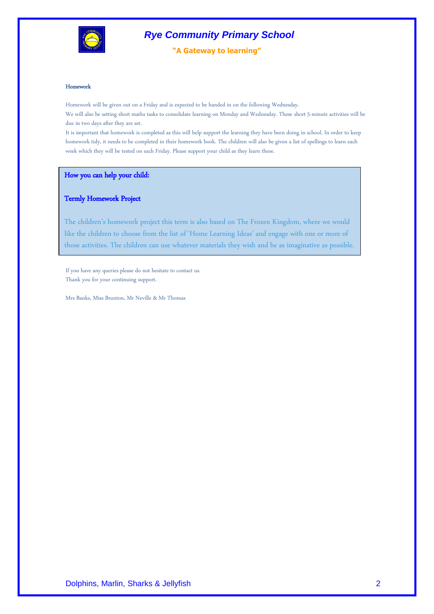

**"A Gateway to learning"**

#### Homework

Homework will be given out on a Friday and is expected to be handed in on the following Wednesday. We will also be setting short maths tasks to consolidate learning on Monday and Wednesday. These short 5-minute activities will be due in two days after they are set.

It is important that homework is completed as this will help support the learning they have been doing in school. In order to keep homework tidy, it needs to be completed in their homework book. The children will also be given a list of spellings to learn each week which they will be tested on each Friday. Please support your child as they learn these.

How you can help your child:

#### Termly Homework Project

The children's homework project this term is also based on The Frozen Kingdom, where we would like the children to choose from the list of 'Home Learning Ideas' and engage with one or more of those activities. The children can use whatever materials they wish and be as imaginative as possible.

If you have any queries please do not hesitate to contact us. Thank you for your continuing support.

Mrs Banks, Miss Brunton, Mr Neville & Mr Thomas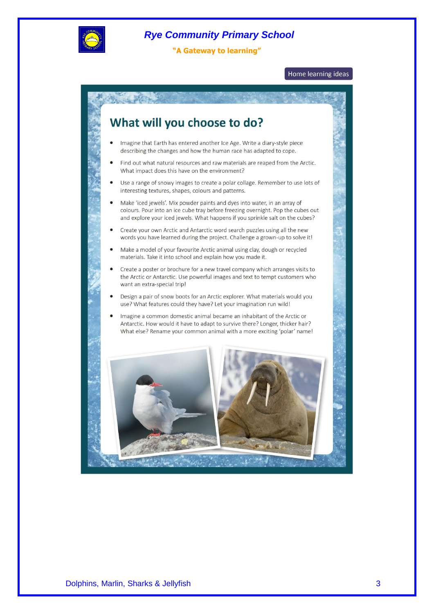

**"A Gateway to learning"**

Home learning ideas